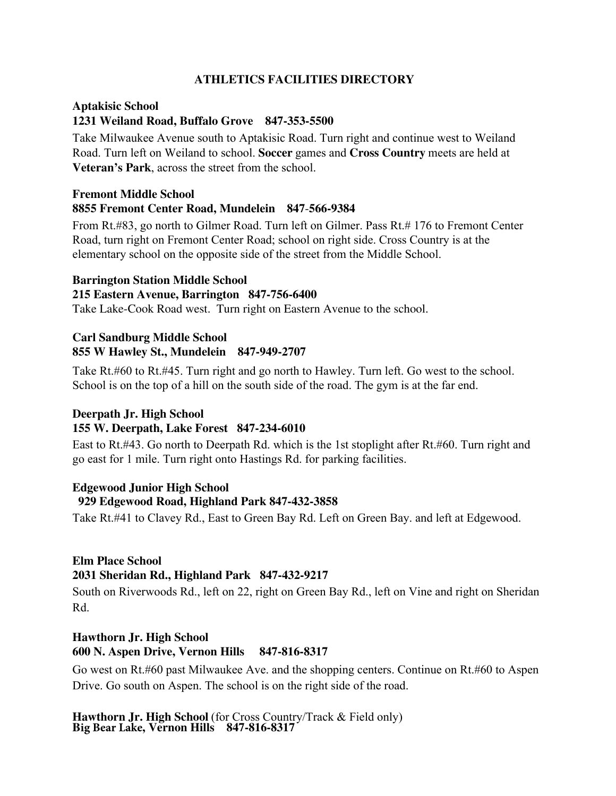# **ATHLETICS FACILITIES DIRECTORY**

# **Aptakisic School 1231 Weiland Road, Buffalo Grove 847-353-5500**

Take Milwaukee Avenue south to Aptakisic Road. Turn right and continue west to Weiland Road. Turn left on Weiland to school. **Soccer** games and **Cross Country** meets are held at **Veteran's Park**, across the street from the school.

# **Fremont Middle School 8855 Fremont Center Road, Mundelein 847**-**566-9384**

From Rt.#83, go north to Gilmer Road. Turn left on Gilmer. Pass Rt.# 176 to Fremont Center Road, turn right on Fremont Center Road; school on right side. Cross Country is at the elementary school on the opposite side of the street from the Middle School.

### **Barrington Station Middle School**

### **215 Eastern Avenue, Barrington 847-756-6400**

Take Lake-Cook Road west. Turn right on Eastern Avenue to the school.

# **Carl Sandburg Middle School 855 W Hawley St., Mundelein 847-949-2707**

Take Rt.#60 to Rt.#45. Turn right and go north to Hawley. Turn left. Go west to the school. School is on the top of a hill on the south side of the road. The gym is at the far end.

# **Deerpath Jr. High School**

# **155 W. Deerpath, Lake Forest 847-234-6010**

East to Rt.#43. Go north to Deerpath Rd. which is the 1st stoplight after Rt.#60. Turn right and go east for 1 mile. Turn right onto Hastings Rd. for parking facilities.

# **Edgewood Junior High School**

# **929 Edgewood Road, Highland Park 847-432-3858**

Take Rt.#41 to Clavey Rd., East to Green Bay Rd. Left on Green Bay. and left at Edgewood.

#### **Elm Place School 2031 Sheridan Rd., Highland Park 847-432-9217**

South on Riverwoods Rd., left on 22, right on Green Bay Rd., left on Vine and right on Sheridan Rd.

# **Hawthorn Jr. High School 600 N. Aspen Drive, Vernon Hills 847-816-8317**

Go west on Rt.#60 past Milwaukee Ave. and the shopping centers. Continue on Rt.#60 to Aspen Drive. Go south on Aspen. The school is on the right side of the road.

**Hawthorn Jr. High School** (for Cross Country/Track & Field only) **Big Bear Lake, Vernon Hills 847-816-8317**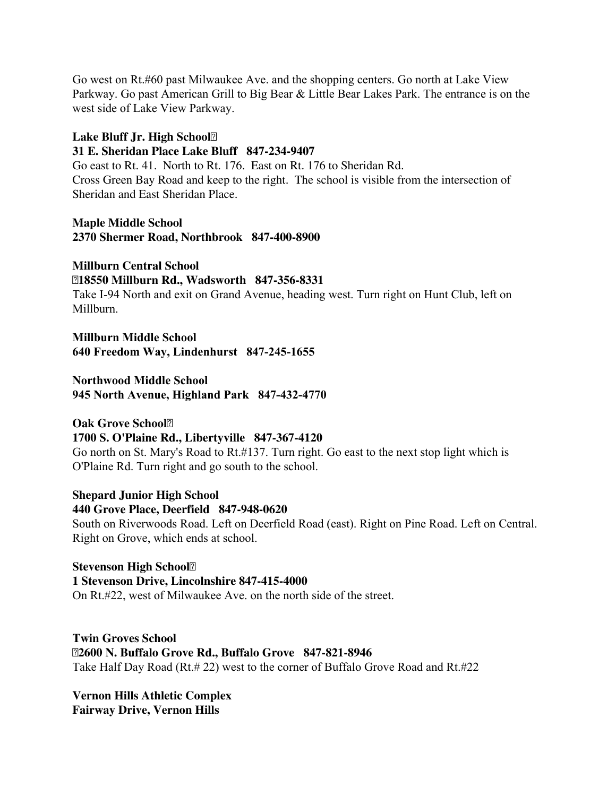Go west on Rt.#60 past Milwaukee Ave. and the shopping centers. Go north at Lake View Parkway. Go past American Grill to Big Bear & Little Bear Lakes Park. The entrance is on the west side of Lake View Parkway.

### **Lake Bluff Jr. High School**

#### **31 E. Sheridan Place Lake Bluff 847-234-9407**

Go east to Rt. 41. North to Rt. 176. East on Rt. 176 to Sheridan Rd. Cross Green Bay Road and keep to the right. The school is visible from the intersection of Sheridan and East Sheridan Place.

**Maple Middle School 2370 Shermer Road, Northbrook 847-400-8900** 

**Millburn Central School 18550 Millburn Rd., Wadsworth 847-356-8331** Take I-94 North and exit on Grand Avenue, heading west. Turn right on Hunt Club, left on Millburn.

**Millburn Middle School 640 Freedom Way, Lindenhurst 847-245-1655** 

**Northwood Middle School 945 North Avenue, Highland Park 847-432-4770** 

**Oak Grove School**<sup>2</sup>

# **1700 S. O'Plaine Rd., Libertyville 847-367-4120**

Go north on St. Mary's Road to Rt.#137. Turn right. Go east to the next stop light which is O'Plaine Rd. Turn right and go south to the school.

**Shepard Junior High School 440 Grove Place, Deerfield 847-948-0620** South on Riverwoods Road. Left on Deerfield Road (east). Right on Pine Road. Left on Central. Right on Grove, which ends at school.

**Stevenson High School 1 Stevenson Drive, Lincolnshire 847-415-4000** On Rt.#22, west of Milwaukee Ave. on the north side of the street.

**Twin Groves School 2600 N. Buffalo Grove Rd., Buffalo Grove 847-821-8946** Take Half Day Road (Rt.# 22) west to the corner of Buffalo Grove Road and Rt.#22

**Vernon Hills Athletic Complex Fairway Drive, Vernon Hills**